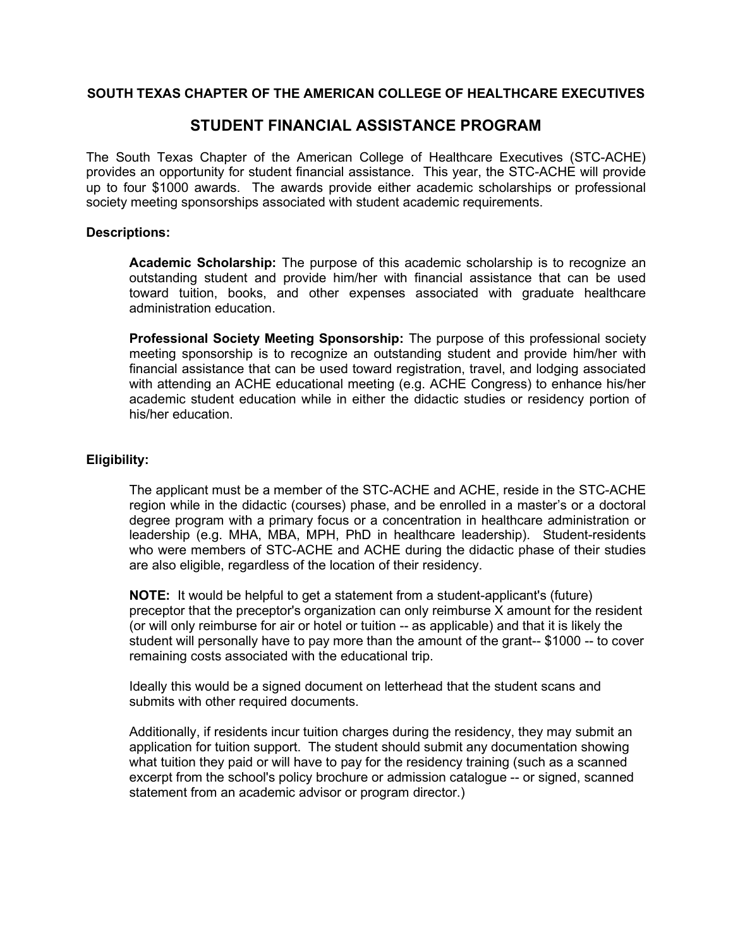## SOUTH TEXAS CHAPTER OF THE AMERICAN COLLEGE OF HEALTHCARE EXECUTIVES

## STUDENT FINANCIAL ASSISTANCE PROGRAM

The South Texas Chapter of the American College of Healthcare Executives (STC-ACHE) provides an opportunity for student financial assistance. This year, the STC-ACHE will provide up to four \$1000 awards. The awards provide either academic scholarships or professional society meeting sponsorships associated with student academic requirements.

#### Descriptions:

Academic Scholarship: The purpose of this academic scholarship is to recognize an outstanding student and provide him/her with financial assistance that can be used toward tuition, books, and other expenses associated with graduate healthcare administration education.

Professional Society Meeting Sponsorship: The purpose of this professional society meeting sponsorship is to recognize an outstanding student and provide him/her with financial assistance that can be used toward registration, travel, and lodging associated with attending an ACHE educational meeting (e.g. ACHE Congress) to enhance his/her academic student education while in either the didactic studies or residency portion of his/her education.

## Eligibility:

The applicant must be a member of the STC-ACHE and ACHE, reside in the STC-ACHE region while in the didactic (courses) phase, and be enrolled in a master's or a doctoral degree program with a primary focus or a concentration in healthcare administration or leadership (e.g. MHA, MBA, MPH, PhD in healthcare leadership). Student-residents who were members of STC-ACHE and ACHE during the didactic phase of their studies are also eligible, regardless of the location of their residency.

NOTE: It would be helpful to get a statement from a student-applicant's (future) preceptor that the preceptor's organization can only reimburse X amount for the resident (or will only reimburse for air or hotel or tuition -- as applicable) and that it is likely the student will personally have to pay more than the amount of the grant-- \$1000 -- to cover remaining costs associated with the educational trip.

Ideally this would be a signed document on letterhead that the student scans and submits with other required documents.

Additionally, if residents incur tuition charges during the residency, they may submit an application for tuition support. The student should submit any documentation showing what tuition they paid or will have to pay for the residency training (such as a scanned excerpt from the school's policy brochure or admission catalogue -- or signed, scanned statement from an academic advisor or program director.)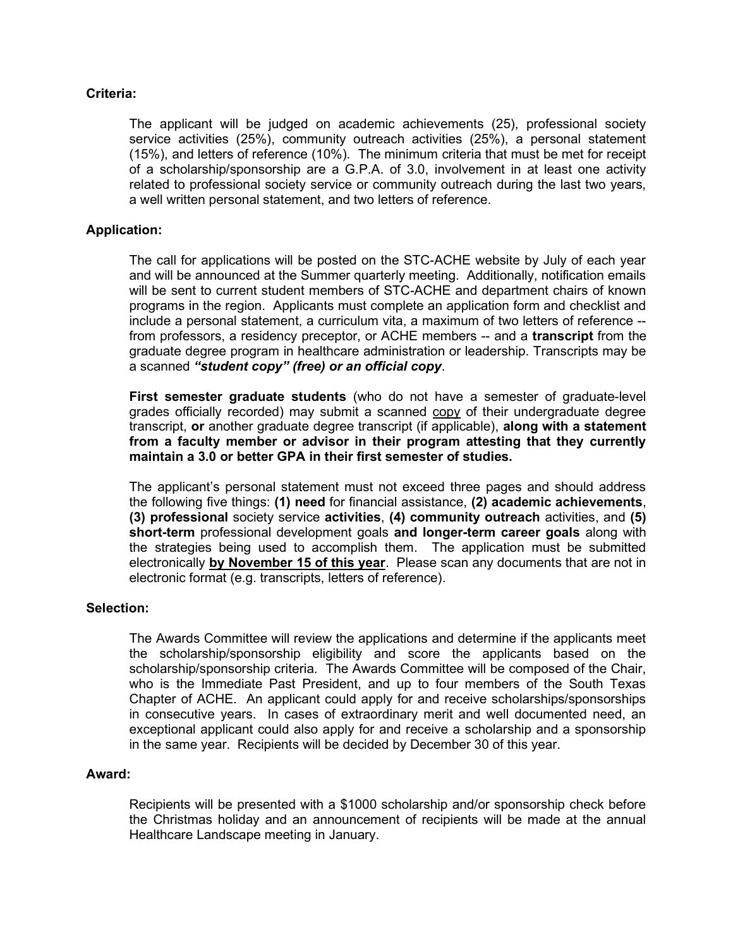#### Criteria:

The applicant will be judged on academic achievements (25), professional society service activities (25%), community outreach activities (25%), a personal statement (15%), and letters of reference (10%). The minimum criteria that must be met for receipt of a scholarship/sponsorship are a G.P.A. of 3.0, involvement in at least one activity related to professional society service or community outreach during the last two years, a well written personal statement, and two letters of reference.

### Application:

The call for applications will be posted on the STC-ACHE website by July of each year and will be announced at the Summer quarterly meeting. Additionally, notification emails will be sent to current student members of STC-ACHE and department chairs of known programs in the region. Applicants must complete an application form and checklist and include a personal statement, a curriculum vita, a maximum of two letters of reference - from professors, a residency preceptor, or ACHE members -- and a transcript from the graduate degree program in healthcare administration or leadership. Transcripts may be a scanned "student copy" (free) or an official copy.

First semester graduate students (who do not have a semester of graduate-level grades officially recorded) may submit a scanned copy of their undergraduate degree transcript, or another graduate degree transcript (if applicable), along with a statement from a faculty member or advisor in their program attesting that they currently maintain a 3.0 or better GPA in their first semester of studies.

The applicant's personal statement must not exceed three pages and should address the following five things: (1) need for financial assistance, (2) academic achievements, (3) professional society service activities, (4) community outreach activities, and (5) short-term professional development goals and longer-term career goals along with the strategies being used to accomplish them. The application must be submitted electronically by November 15 of this year. Please scan any documents that are not in electronic format (e.g. transcripts, letters of reference).

#### Selection:

The Awards Committee will review the applications and determine if the applicants meet the scholarship/sponsorship eligibility and score the applicants based on the scholarship/sponsorship criteria. The Awards Committee will be composed of the Chair, who is the Immediate Past President, and up to four members of the South Texas Chapter of ACHE. An applicant could apply for and receive scholarships/sponsorships in consecutive years. In cases of extraordinary merit and well documented need, an exceptional applicant could also apply for and receive a scholarship and a sponsorship in the same year. Recipients will be decided by December 30 of this year.

#### Award:

Recipients will be presented with a \$1000 scholarship and/or sponsorship check before the Christmas holiday and an announcement of recipients will be made at the annual Healthcare Landscape meeting in January.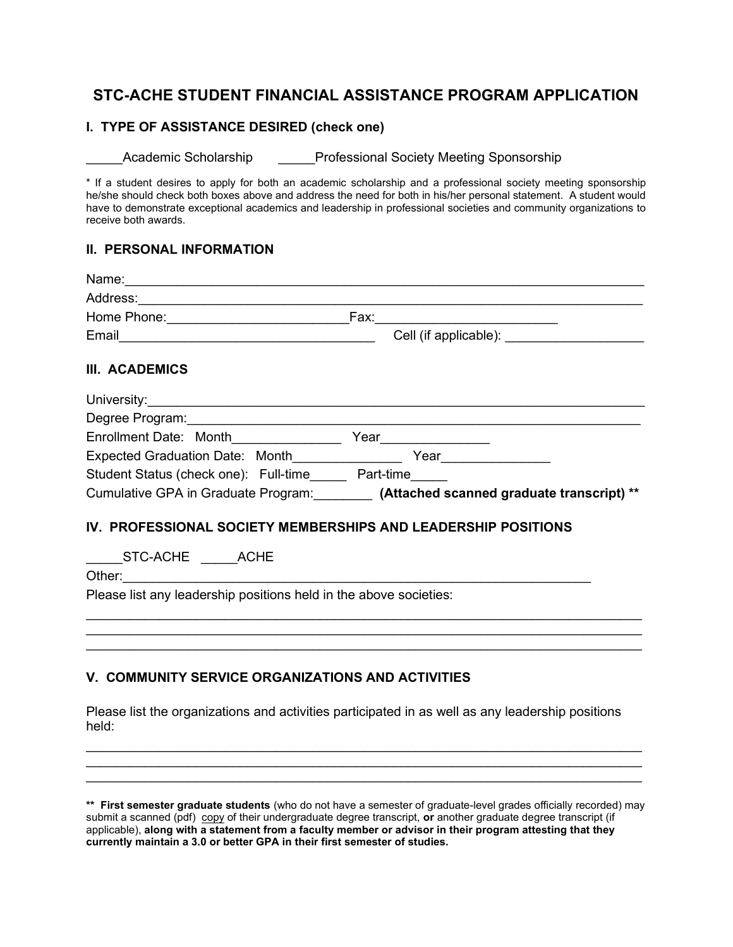## STC-ACHE STUDENT FINANCIAL ASSISTANCE PROGRAM APPLICATION

## I. TYPE OF ASSISTANCE DESIRED (check one)

Academic Scholarship **Example Scholarship Exercise** Professional Society Meeting Sponsorship

\* If a student desires to apply for both an academic scholarship and a professional society meeting sponsorship he/she should check both boxes above and address the need for both in his/her personal statement. A student would have to demonstrate exceptional academics and leadership in professional societies and community organizations to receive both awards.

### II. PERSONAL INFORMATION

| Name:                                 |                                           |
|---------------------------------------|-------------------------------------------|
| Address:                              |                                           |
| Home Phone:                           | Fax:                                      |
| Email                                 | Cell (if applicable):                     |
| <b>III. ACADEMICS</b>                 |                                           |
|                                       |                                           |
|                                       |                                           |
| Enrollment Date: Month                | Year                                      |
| Expected Graduation Date: Month       | Year                                      |
| Student Status (check one): Full-time | Part-time                                 |
| Cumulative GPA in Graduate Program:   | (Attached scanned graduate transcript) ** |

#### IV. PROFESSIONAL SOCIETY MEMBERSHIPS AND LEADERSHIP POSITIONS

\_\_\_\_\_STC-ACHE \_\_\_\_\_ACHE

Other:\_\_\_\_\_\_\_\_\_\_\_\_\_\_\_\_\_\_\_\_\_\_\_\_\_\_\_\_\_\_\_\_\_\_\_\_\_\_\_\_\_\_\_\_\_\_\_\_\_\_\_\_\_\_\_\_\_\_\_\_\_\_\_\_

Please list any leadership positions held in the above societies:

## V. COMMUNITY SERVICE ORGANIZATIONS AND ACTIVITIES

Please list the organizations and activities participated in as well as any leadership positions held:

 $\mathcal{L}_\text{max}$  and  $\mathcal{L}_\text{max}$  and  $\mathcal{L}_\text{max}$  and  $\mathcal{L}_\text{max}$  and  $\mathcal{L}_\text{max}$  and  $\mathcal{L}_\text{max}$  $\mathcal{L}_\text{max}$  and  $\mathcal{L}_\text{max}$  and  $\mathcal{L}_\text{max}$  and  $\mathcal{L}_\text{max}$  and  $\mathcal{L}_\text{max}$  and  $\mathcal{L}_\text{max}$  $\mathcal{L}_\text{max}$  and  $\mathcal{L}_\text{max}$  and  $\mathcal{L}_\text{max}$  and  $\mathcal{L}_\text{max}$  and  $\mathcal{L}_\text{max}$  and  $\mathcal{L}_\text{max}$ 

 $\mathcal{L}_\text{max}$  and  $\mathcal{L}_\text{max}$  and  $\mathcal{L}_\text{max}$  and  $\mathcal{L}_\text{max}$  and  $\mathcal{L}_\text{max}$  and  $\mathcal{L}_\text{max}$  $\mathcal{L}_\text{max}$  and  $\mathcal{L}_\text{max}$  and  $\mathcal{L}_\text{max}$  and  $\mathcal{L}_\text{max}$  and  $\mathcal{L}_\text{max}$  and  $\mathcal{L}_\text{max}$  $\mathcal{L}_\text{max}$  and  $\mathcal{L}_\text{max}$  and  $\mathcal{L}_\text{max}$  and  $\mathcal{L}_\text{max}$  and  $\mathcal{L}_\text{max}$  and  $\mathcal{L}_\text{max}$ 

\*\* First semester graduate students (who do not have a semester of graduate-level grades officially recorded) may submit a scanned (pdf) copy of their undergraduate degree transcript, or another graduate degree transcript (if applicable), along with a statement from a faculty member or advisor in their program attesting that they currently maintain a 3.0 or better GPA in their first semester of studies.